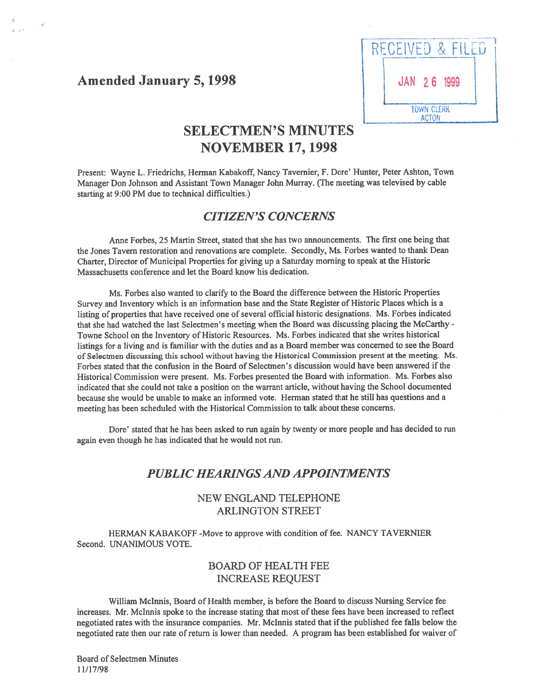# Amended January 5, 1998 **JAN** 26

4

RECEIVED & EILED **TOWN CLERK ACTON** 

# SELECTMEN'S MINUTES NOVEMBER 17, 1998

Present: Wayne L. Friedrichs, Herman Kabakoff, Nancy Tavernier, F. Dore' Hunter, Peter Ashton, Town Manager Don Johnson and Assistant Town Manager John Murray. (The meeting was televised by cable starting at 9:00 PM due to technical difficulties.)

#### CITIZEN'S CONCERNS

Anne Forbes, 25 Martin Street, stated that she has two announcements. The first one being that the Jones Tavern restoration and renovations are complete. Secondly, Ms. Forbes wanted to thank Dean Charter, Director of Municipal Properties for <sup>g</sup>iving up <sup>a</sup> Saturday morning to spea<sup>k</sup> at the Historic Massachusetts conference and let the Board know his dedication.

Ms. Forbes also wanted to clarify to the Board the difference between the Historic Properties Survey and Inventory which is an information base and the State Register of Historic Places which is <sup>a</sup> listing of properties that have received one of several official historic designations. Ms. Forbes indicated that she had watched the last Selectmen's meeting when the Board was discussing placing the McCarthy - Towne School on the Inventory of Historic Resources. Ms. Forbes indicated that she writes historical listings for <sup>a</sup> living and is familiar with the duties and as <sup>a</sup> Board member was concerned to see the Board of Selectmen discussing this school without having the Historical Commission presen<sup>t</sup> at the meeting. Ms. Forbes stated that the confusion in the Board of Selectmen's discussion would have been answered if the Historical Commission were present. Ms. Forbes presented the Board with information. Ms. Forbes also indicated that she could not take <sup>a</sup> position on the warrant article, without having the School documented because she would be unable to make an informed vote. Herman stated that he still has questions and <sup>a</sup> meeting has been scheduled with the Historical Commission to talk about these concerns.

Dore' stated that he has been asked to run again by twenty or more people and has decided to run again even though he has indicated that he would not run.

## PUBLIC HEARINGS AND APPOINTMENTS

#### NEW ENGLAND TELEPHONE ARLINGTON STREET

HERMAN KABAKOFF -Move to approve with condition of fee. NANCY TAVERNIER Second. UNANIMOUS VOTE.

#### BOARD Of HEALTH FEE INCREASE REQUEST

William Mclnnis, Board of Health member, is before the Board to discuss Nursing Service fee increases. Mr. Mclnnis spoke to the increase stating that most of these fees have been increased to reflect negotiated rates with the insurance companies. Mr. McInnis stated that if the published fee falls below the negotiated rate then our rate of return is lower than needed. A program has been established for waiver of

Board of Selectmen Minutes 11/17/98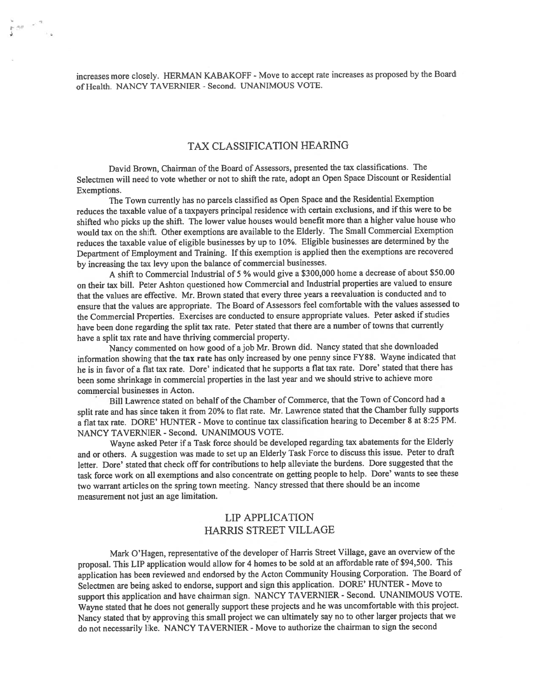increases more closely. HERMAN KABAKOFF - Move to accept rate increases as proposed by the Board of Health. NANCY TAVERNIER - Second. UNANIMOUS VOTE.

 $\sum_{i=1}^N \alpha_i \alpha_i = \alpha_i \alpha_i$ 

#### TAX CLASSIFICATION HEARING

David Brown, Chairman of the Board of Assessors, presented the tax classifications. The Selectmen will need to vote whether or not to shift the rate, adopt an Open Space Discount or Residential Exemptions.

The Town currently has no parcels classified as Open Space and the Residential Exemption reduces the taxable value of <sup>a</sup> taxpayers principal residence with certain exclusions, and ifthis were to be shifted who <sup>p</sup>icks up the shift. The lower value houses would benefit more than <sup>a</sup> higher value house who would tax on the shift. Other exemptions are available to the Elderly. The Small Commercial Exemption reduces the taxable value of eligible businesses by up to 10%. Eligible businesses are determined by the Department of Employment and Training. If this exemption is applied then the exemptions are recovered by increasing the tax levy upon the balance of commercial businesses.

<sup>A</sup> shift to Commercial Industrial of <sup>5</sup> % would <sup>g</sup>ive <sup>a</sup> \$300,000 home <sup>a</sup> decrease of about \$50.00 on their tax bill. Peter Ashton questioned how Commercial and Industrial properties are valued to ensure that the values are effective. Mr. Brown stated that every three years <sup>a</sup> reevaluation is conducted and to ensure that the values are appropriate. The Board of Assessors feel comfortable with the values assessed to the Commercial Properties. Exercises are conducted to ensure appropriate values. Peter asked if studies have been done regarding the split tax rate. Peter stated that there are <sup>a</sup> number of towns that currently have <sup>a</sup> split tax rate and have thriving commercial property.

Nancy commented on how goo<sup>d</sup> of ajob Mr. Brown did. Nancy stated that she downloaded information showing that the tax rate has only increased by one penny since FY88. Wayne indicated that he is in favor of <sup>a</sup> flat tax rate. Dore' indicated that he supports <sup>a</sup> flat tax rate. Dore' stated that there has been some shrinkage in commercial properties in the last year and we should strive to achieve more commercial businesses in Acton.

Bill Lawrence stated on behalf of the Chamber of Commerce, that the Town of Concord had <sup>a</sup> split rate and has since taken it from 20% to flat rate. Mr. Lawrence stated that the Chamber fully supports a flat tax rate. DORE' HUNTER - Move to continue tax classification hearing to December 8 at 8:25 PM. NANCY TAVERNIER - Second. UNANIMOUS VOTE.

Wayne asked Peter if <sup>a</sup> Task force should be developed regarding tax abatements for the Elderly and or others. <sup>A</sup> suggestion was made to set up an Elderly Task Force to discuss this issue. Peter to draft letter. Dore' stated that check off for contributions to help alleviate the burdens. Dore suggested that the task force work on all exemptions and also concentrate on getting people to help. Dore' wants to see these two warrant articles on the spring town meeting. Nancy stressed that there should be an income measurement not just an age limitation.

#### LIP APPLICATION HARRIS STREET VILLAGE

Mark O'Hagen, representative of the developer of Harris Street Village, gave an overview of the proposal. This LIP application would allow for <sup>4</sup> homes to be sold at an affordable rate of \$94,500. This application has been reviewed and endorsed by the Acton Community Housing Corporation. The Board of Selectmen are being asked to endorse, suppor<sup>t</sup> and sign this application. DORE' HUNTER - Move to suppor<sup>t</sup> this application and have chairman sign. NANCY TAVERNIER - Second. UNANIMOUS VOTE. Wayne stated that he does not generally suppor<sup>t</sup> these projects and he was uncomfortable with this project. Nancy stated that by approving this small project we can ultimately say no to other larger projects that we do not necessarily like. NANCY TAVERNIER - Move to authorize the chairman to sign the second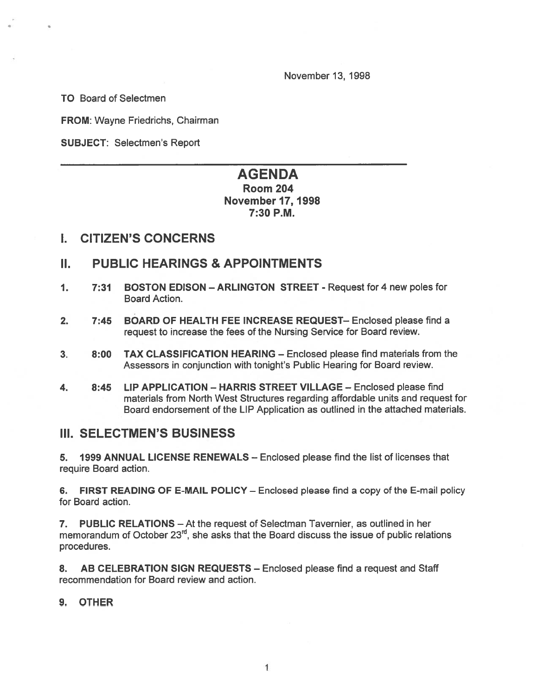November 13, 1998

TO Board of Selectmen

FROM: Wayne Friedrichs, Chairman

SUBJECT: Selectmen's Report

# AGENDA

### Room 204 November 17, 1998 7:30 P.M.

## I. CITIZEN'S CONCERNS

## II. PUBLIC HEARINGS & APPOINTMENTS

- 1. 7:31 BOSTON EDISON ARLINGTON STREET Request for 4 new poles for Board Action.
- 2. 7:45 BOARD OF HEALTH FEE INCREASE REQUEST— Enclosed please find <sup>a</sup> reques<sup>t</sup> to increase the fees of the Nursing Service for Board review.
- 3. 8:00 TAX CLASSIFICATION HEARING Enclosed please find materials from the Assessors in conjunction with tonight's Public Hearing for Board review.
- 4. 8:45 LIP APPLICATION HARRIS STREET VILLAGE Enclosed please find materials from North West Structures regarding affordable units and reques<sup>t</sup> for Board endorsement of the LIP Application as outlined in the attached materials.

## III. SELECTMEN'S BUSINESS

5. 1999 ANNUAL LICENSE RENEWALS — Enclosed please find the list of licenses that require Board action.

6. FIRST READING OF E-MAIL POLICY — Enclosed please find <sup>a</sup> copy of the E-mail policy for Board action.

7. PUBLIC RELATIONS — At the reques<sup>t</sup> of Selectman Tavernier, as outlined in her memorandum of October  $23<sup>rd</sup>$ , she asks that the Board discuss the issue of public relations procedures.

8. AB CELEBRATION SIGN REQUESTS — Enclosed please find <sup>a</sup> reques<sup>t</sup> and Staff recommendation for Board review and action.

#### 9. OTHER